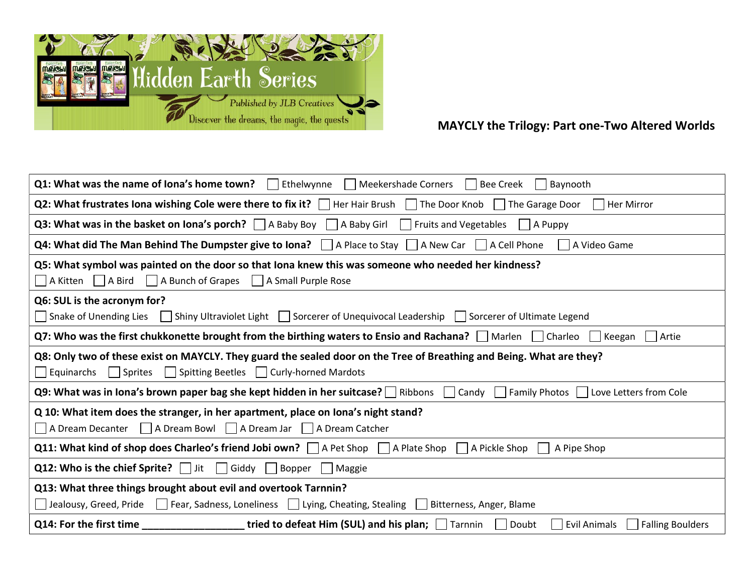

## MAYCLY the Trilogy: Part one-Two Altered Worlds

| $Q1:$ What was the name of lona's home town? Figure Ethelwynne<br>    Meekershade Corners     Bee Creek  <br>Baynooth                                                                                    |
|----------------------------------------------------------------------------------------------------------------------------------------------------------------------------------------------------------|
| Q2: What frustrates Iona wishing Cole were there to fix it? $\Box$ Her Hair Brush $\Box$ The Door Knob $\Box$ The Garage Door<br>Her Mirror                                                              |
| <b>Q3: What was in the basket on Iona's porch?</b>   A Baby Boy   A Baby Girl   Fruits and Vegetables   A Puppy                                                                                          |
| <b>Q4: What did The Man Behind The Dumpster give to lona?</b> $\Box$ A Place to Stay $\Box$ A New Car $\Box$ A Cell Phone<br>    A Video Game                                                            |
| Q5: What symbol was painted on the door so that Iona knew this was someone who needed her kindness?<br>A Kitten A Bird   A Bunch of Grapes   A Small Purple Rose                                         |
| Q6: SUL is the acronym for?                                                                                                                                                                              |
| Shiny Ultraviolet Light   Sorcerer of Unequivocal Leadership   Sorcerer of Ultimate Legend<br>Snake of Unending Lies                                                                                     |
| Q7: Who was the first chukkonette brought from the birthing waters to Ensio and Rachana? Marlen Charleo<br>Artie<br>Keegan                                                                               |
| Q8: Only two of these exist on MAYCLY. They guard the sealed door on the Tree of Breathing and Being. What are they?<br>$\Box$ Sprites $\Box$ Spitting Beetles $\Box$ Curly-horned Mardots<br>Equinarchs |
| Q9: What was in lona's brown paper bag she kept hidden in her suitcase? Ribbons Candy Family Photos I Love Letters from Cole                                                                             |
| Q 10: What item does the stranger, in her apartment, place on lona's night stand?                                                                                                                        |
| △ A Dream Decanter △ A Dream Bowl △ A Dream Jar △ A Dream Catcher                                                                                                                                        |
| <b>Q11: What kind of shop does Charleo's friend Jobi own?</b> $\Box$ A Pet Shop $\Box$ A Plate Shop $\Box$ A Pickle Shop<br>A Pipe Shop                                                                  |
| <b>Q12: Who is the chief Sprite?</b> $\Box$ Jit $\Box$ Giddy $\Box$ Bopper $\Box$ Maggie                                                                                                                 |
| Q13: What three things brought about evil and overtook Tarnnin?                                                                                                                                          |
| Jealousy, Greed, Pride Fear, Sadness, Loneliness Lying, Cheating, Stealing Bitterness, Anger, Blame                                                                                                      |
| <b>tried to defeat Him (SUL) and his plan;</b> $\Box$ Tarnnin $\Box$ Doubt<br>Q14: For the first time<br>  Evil Animals     Falling Boulders                                                             |